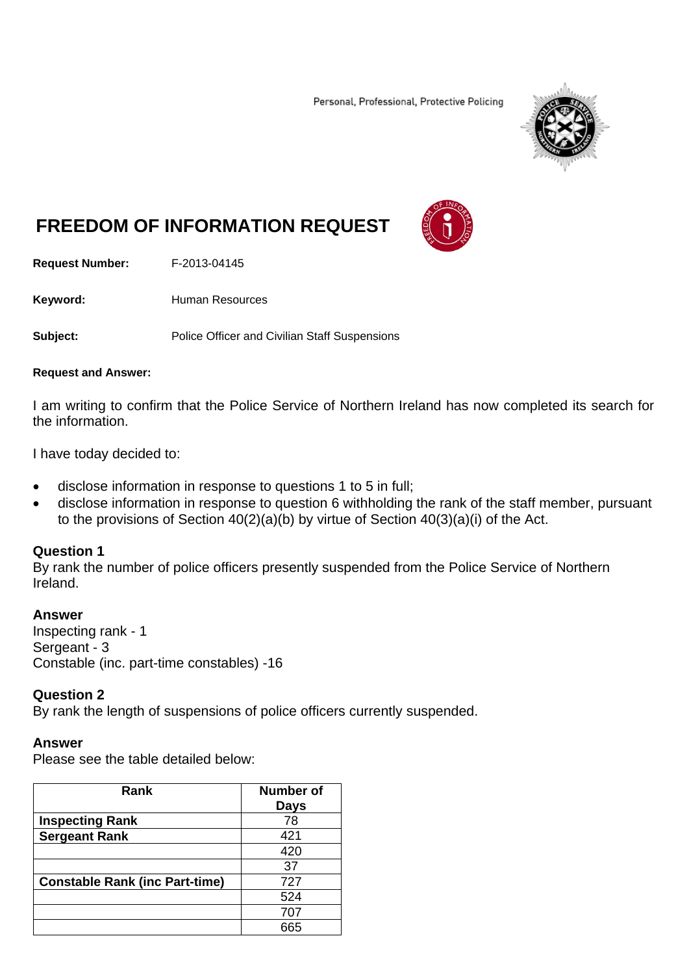Personal, Professional, Protective Policing



# **FREEDOM OF INFORMATION REQUEST**

**Request Number:** F-2013-04145

Keyword: **Human Resources** 

**Subject:** Police Officer and Civilian Staff Suspensions

#### **Request and Answer:**

I am writing to confirm that the Police Service of Northern Ireland has now completed its search for the information.

I have today decided to:

- disclose information in response to questions 1 to 5 in full;
- disclose information in response to question 6 withholding the rank of the staff member, pursuant to the provisions of Section 40(2)(a)(b) by virtue of Section 40(3)(a)(i) of the Act.

#### **Question 1**

By rank the number of police officers presently suspended from the Police Service of Northern Ireland.

#### **Answer**

Inspecting rank - 1 Sergeant - 3 Constable (inc. part-time constables) -16

## **Question 2**

By rank the length of suspensions of police officers currently suspended.

## **Answer**

Please see the table detailed below:

| Rank                                  | Number of<br><b>Days</b> |
|---------------------------------------|--------------------------|
| <b>Inspecting Rank</b>                | 78                       |
| <b>Sergeant Rank</b>                  | 421                      |
|                                       | 420                      |
|                                       | 37                       |
| <b>Constable Rank (inc Part-time)</b> | 727                      |
|                                       | 524                      |
|                                       | 707                      |
|                                       |                          |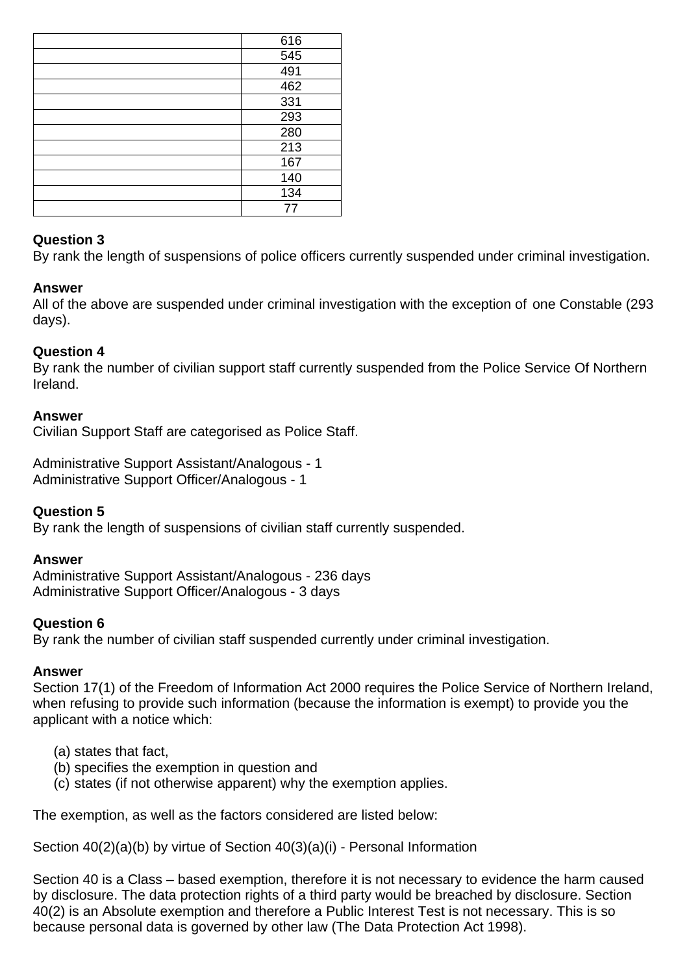| 616              |
|------------------|
| 545              |
| 491              |
| 462              |
| 331              |
| 293              |
| 280              |
| $\overline{213}$ |
| 167              |
| 140              |
| 134              |
| 77               |

## **Question 3**

By rank the length of suspensions of police officers currently suspended under criminal investigation.

## **Answer**

All of the above are suspended under criminal investigation with the exception of one Constable (293 days).

## **Question 4**

By rank the number of civilian support staff currently suspended from the Police Service Of Northern Ireland.

## **Answer**

Civilian Support Staff are categorised as Police Staff.

Administrative Support Assistant/Analogous - 1 Administrative Support Officer/Analogous - 1

## **Question 5**

By rank the length of suspensions of civilian staff currently suspended.

## **Answer**

Administrative Support Assistant/Analogous - 236 days Administrative Support Officer/Analogous - 3 days

## **Question 6**

By rank the number of civilian staff suspended currently under criminal investigation.

## **Answer**

Section 17(1) of the Freedom of Information Act 2000 requires the Police Service of Northern Ireland, when refusing to provide such information (because the information is exempt) to provide you the applicant with a notice which:

- (a) states that fact,
- (b) specifies the exemption in question and
- (c) states (if not otherwise apparent) why the exemption applies.

The exemption, as well as the factors considered are listed below:

Section 40(2)(a)(b) by virtue of Section 40(3)(a)(i) - Personal Information

Section 40 is a Class – based exemption, therefore it is not necessary to evidence the harm caused by disclosure. The data protection rights of a third party would be breached by disclosure. Section 40(2) is an Absolute exemption and therefore a Public Interest Test is not necessary. This is so because personal data is governed by other law (The Data Protection Act 1998).